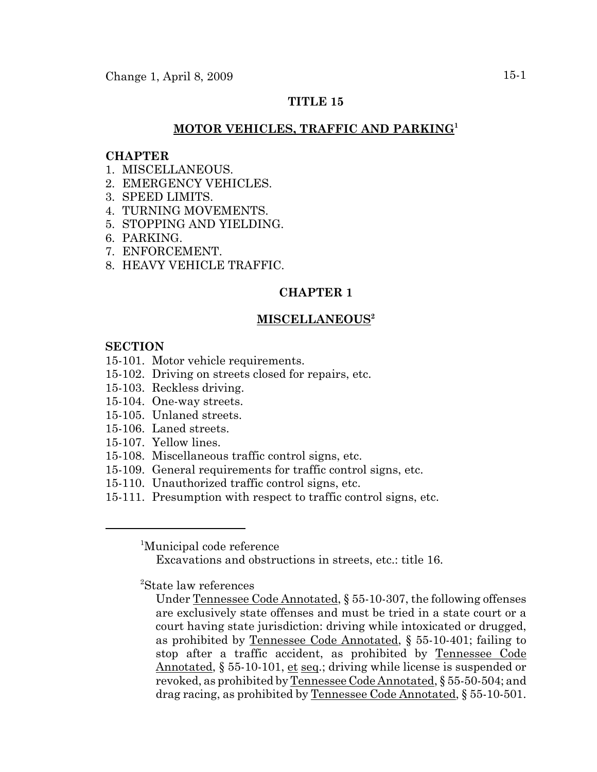# **TITLE 15**

# **MOTOR VEHICLES, TRAFFIC AND PARKING<sup>1</sup>**

### **CHAPTER**

- 1. MISCELLANEOUS.
- 2. EMERGENCY VEHICLES.
- 3. SPEED LIMITS.
- 4. TURNING MOVEMENTS.
- 5. STOPPING AND YIELDING.
- 6. PARKING.
- 7. ENFORCEMENT.
- 8. HEAVY VEHICLE TRAFFIC.

# **CHAPTER 1**

## **MISCELLANEOUS2**

#### **SECTION**

- 15-101. Motor vehicle requirements.
- 15-102. Driving on streets closed for repairs, etc.
- 15-103. Reckless driving.
- 15-104. One-way streets.
- 15-105. Unlaned streets.
- 15-106. Laned streets.
- 15-107. Yellow lines.
- 15-108. Miscellaneous traffic control signs, etc.
- 15-109. General requirements for traffic control signs, etc.
- 15-110. Unauthorized traffic control signs, etc.
- 15-111. Presumption with respect to traffic control signs, etc.

<sup>1</sup>Municipal code reference

Excavations and obstructions in streets, etc.: title 16.

2 State law references

Under Tennessee Code Annotated, § 55-10-307, the following offenses are exclusively state offenses and must be tried in a state court or a court having state jurisdiction: driving while intoxicated or drugged, as prohibited by Tennessee Code Annotated, § 55-10-401; failing to stop after a traffic accident, as prohibited by Tennessee Code Annotated,  $\S 55{\text -}10{\text -}101$ , et seq.; driving while license is suspended or revoked, as prohibited by Tennessee Code Annotated, § 55-50-504; and drag racing, as prohibited by Tennessee Code Annotated, § 55-10-501.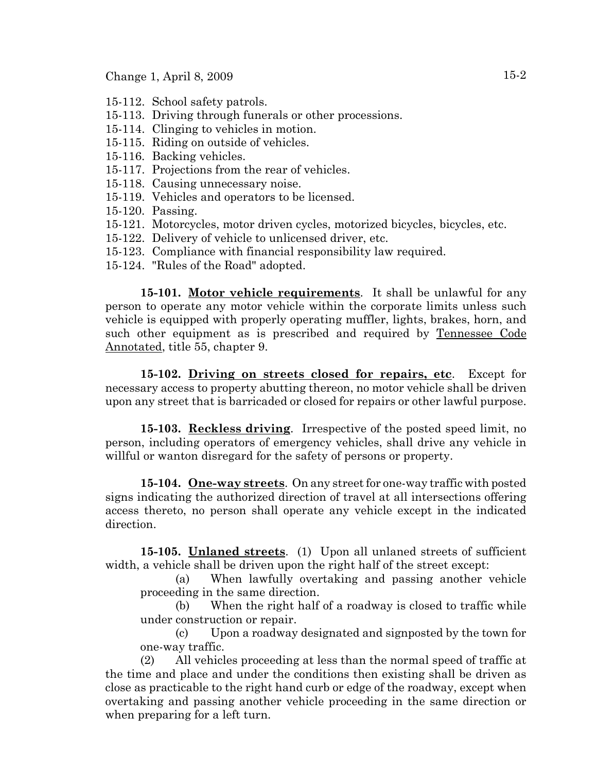Change 1, April 8, 2009 15-2

- 15-112. School safety patrols.
- 15-113. Driving through funerals or other processions.
- 15-114. Clinging to vehicles in motion.
- 15-115. Riding on outside of vehicles.
- 15-116. Backing vehicles.
- 15-117. Projections from the rear of vehicles.
- 15-118. Causing unnecessary noise.
- 15-119. Vehicles and operators to be licensed.
- 15-120. Passing.
- 15-121. Motorcycles, motor driven cycles, motorized bicycles, bicycles, etc.
- 15-122. Delivery of vehicle to unlicensed driver, etc.
- 15-123. Compliance with financial responsibility law required.
- 15-124. "Rules of the Road" adopted.

**15-101. Motor vehicle requirements**. It shall be unlawful for any person to operate any motor vehicle within the corporate limits unless such vehicle is equipped with properly operating muffler, lights, brakes, horn, and such other equipment as is prescribed and required by Tennessee Code Annotated, title 55, chapter 9.

**15-102. Driving on streets closed for repairs, etc**. Except for necessary access to property abutting thereon, no motor vehicle shall be driven upon any street that is barricaded or closed for repairs or other lawful purpose.

**15-103. Reckless driving**. Irrespective of the posted speed limit, no person, including operators of emergency vehicles, shall drive any vehicle in willful or wanton disregard for the safety of persons or property.

**15-104. One-way streets**. On any street for one-way traffic with posted signs indicating the authorized direction of travel at all intersections offering access thereto, no person shall operate any vehicle except in the indicated direction.

**15-105. Unlaned streets**. (1) Upon all unlaned streets of sufficient width, a vehicle shall be driven upon the right half of the street except:

(a) When lawfully overtaking and passing another vehicle proceeding in the same direction.

(b) When the right half of a roadway is closed to traffic while under construction or repair.

(c) Upon a roadway designated and signposted by the town for one-way traffic.

(2) All vehicles proceeding at less than the normal speed of traffic at the time and place and under the conditions then existing shall be driven as close as practicable to the right hand curb or edge of the roadway, except when overtaking and passing another vehicle proceeding in the same direction or when preparing for a left turn.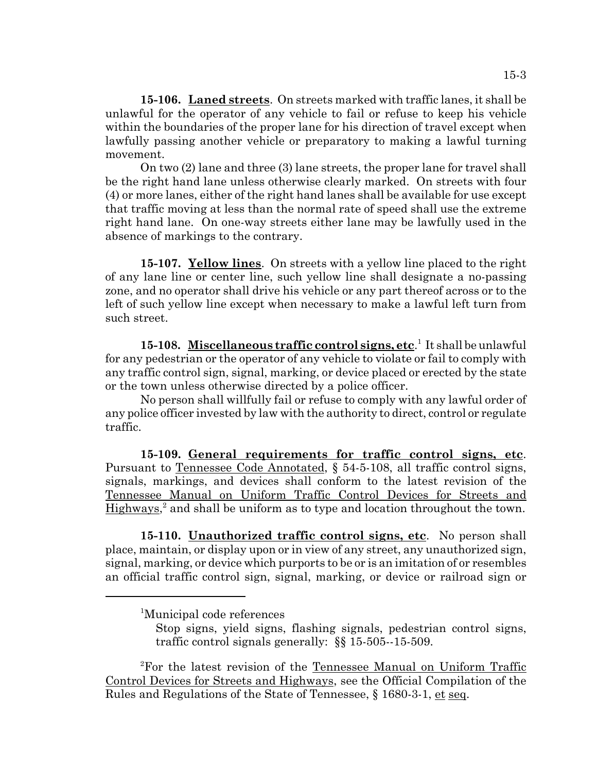**15-106. Laned streets**. On streets marked with traffic lanes, it shall be unlawful for the operator of any vehicle to fail or refuse to keep his vehicle within the boundaries of the proper lane for his direction of travel except when lawfully passing another vehicle or preparatory to making a lawful turning movement.

On two (2) lane and three (3) lane streets, the proper lane for travel shall be the right hand lane unless otherwise clearly marked. On streets with four (4) or more lanes, either of the right hand lanes shall be available for use except that traffic moving at less than the normal rate of speed shall use the extreme right hand lane. On one-way streets either lane may be lawfully used in the absence of markings to the contrary.

**15-107. Yellow lines**. On streets with a yellow line placed to the right of any lane line or center line, such yellow line shall designate a no-passing zone, and no operator shall drive his vehicle or any part thereof across or to the left of such yellow line except when necessary to make a lawful left turn from such street.

15-108. Miscellaneous traffic control signs, etc.<sup>1</sup> It shall be unlawful for any pedestrian or the operator of any vehicle to violate or fail to comply with any traffic control sign, signal, marking, or device placed or erected by the state or the town unless otherwise directed by a police officer.

No person shall willfully fail or refuse to comply with any lawful order of any police officer invested by law with the authority to direct, control or regulate traffic.

**15-109. General requirements for traffic control signs, etc**. Pursuant to Tennessee Code Annotated, § 54-5-108, all traffic control signs, signals, markings, and devices shall conform to the latest revision of the Tennessee Manual on Uniform Traffic Control Devices for Streets and Highways,<sup>2</sup> and shall be uniform as to type and location throughout the town.

**15-110. Unauthorized traffic control signs, etc**. No person shall place, maintain, or display upon or in view of any street, any unauthorized sign, signal, marking, or device which purports to be or is an imitation of or resembles an official traffic control sign, signal, marking, or device or railroad sign or

<sup>&</sup>lt;sup>1</sup>Municipal code references

Stop signs, yield signs, flashing signals, pedestrian control signs, traffic control signals generally: §§ 15-505--15-509.

<sup>&</sup>lt;sup>2</sup>For the latest revision of the Tennessee Manual on Uniform Traffic Control Devices for Streets and Highways, see the Official Compilation of the Rules and Regulations of the State of Tennessee, § 1680-3-1, et seq.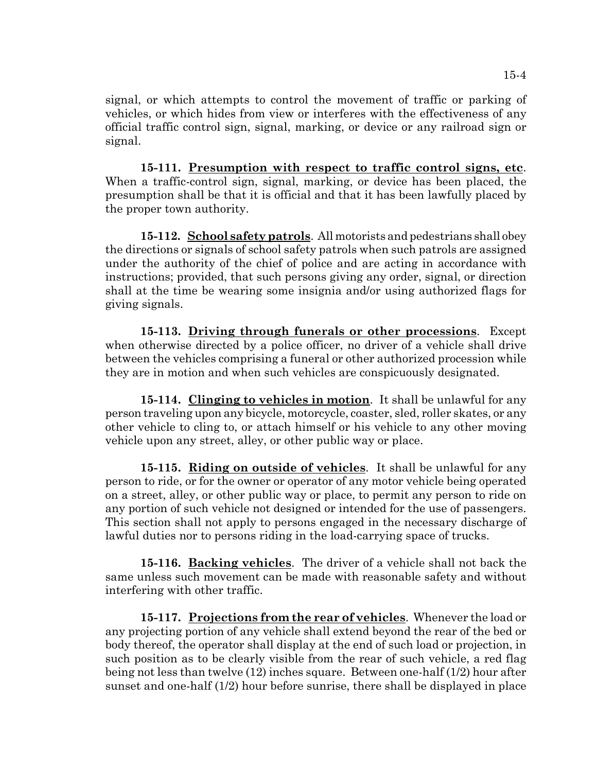signal, or which attempts to control the movement of traffic or parking of vehicles, or which hides from view or interferes with the effectiveness of any official traffic control sign, signal, marking, or device or any railroad sign or signal.

**15-111. Presumption with respect to traffic control signs, etc**. When a traffic-control sign, signal, marking, or device has been placed, the presumption shall be that it is official and that it has been lawfully placed by the proper town authority.

**15-112. School safety patrols**. All motorists and pedestrians shall obey the directions or signals of school safety patrols when such patrols are assigned under the authority of the chief of police and are acting in accordance with instructions; provided, that such persons giving any order, signal, or direction shall at the time be wearing some insignia and/or using authorized flags for giving signals.

**15-113. Driving through funerals or other processions**. Except when otherwise directed by a police officer, no driver of a vehicle shall drive between the vehicles comprising a funeral or other authorized procession while they are in motion and when such vehicles are conspicuously designated.

**15-114. Clinging to vehicles in motion**. It shall be unlawful for any person traveling upon any bicycle, motorcycle, coaster, sled, roller skates, or any other vehicle to cling to, or attach himself or his vehicle to any other moving vehicle upon any street, alley, or other public way or place.

**15-115. Riding on outside of vehicles**. It shall be unlawful for any person to ride, or for the owner or operator of any motor vehicle being operated on a street, alley, or other public way or place, to permit any person to ride on any portion of such vehicle not designed or intended for the use of passengers. This section shall not apply to persons engaged in the necessary discharge of lawful duties nor to persons riding in the load-carrying space of trucks.

**15-116. Backing vehicles**. The driver of a vehicle shall not back the same unless such movement can be made with reasonable safety and without interfering with other traffic.

**15-117. Projections from the rear of vehicles**. Whenever the load or any projecting portion of any vehicle shall extend beyond the rear of the bed or body thereof, the operator shall display at the end of such load or projection, in such position as to be clearly visible from the rear of such vehicle, a red flag being not less than twelve (12) inches square. Between one-half (1/2) hour after sunset and one-half (1/2) hour before sunrise, there shall be displayed in place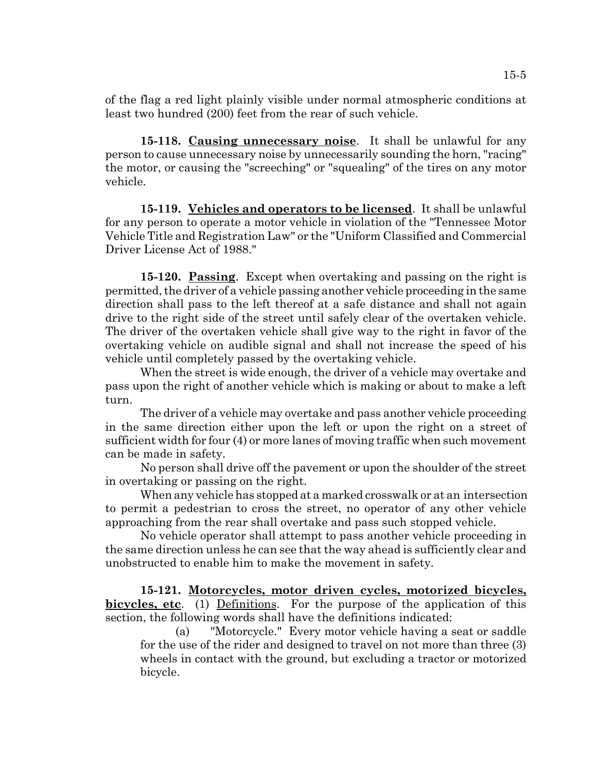of the flag a red light plainly visible under normal atmospheric conditions at least two hundred (200) feet from the rear of such vehicle.

**15-118. Causing unnecessary noise**. It shall be unlawful for any person to cause unnecessary noise by unnecessarily sounding the horn, "racing" the motor, or causing the "screeching" or "squealing" of the tires on any motor vehicle.

**15-119. Vehicles and operators to be licensed**. It shall be unlawful for any person to operate a motor vehicle in violation of the "Tennessee Motor Vehicle Title and Registration Law" or the "Uniform Classified and Commercial Driver License Act of 1988."

**15-120. Passing**. Except when overtaking and passing on the right is permitted, the driver of a vehicle passing another vehicle proceeding in the same direction shall pass to the left thereof at a safe distance and shall not again drive to the right side of the street until safely clear of the overtaken vehicle. The driver of the overtaken vehicle shall give way to the right in favor of the overtaking vehicle on audible signal and shall not increase the speed of his vehicle until completely passed by the overtaking vehicle.

When the street is wide enough, the driver of a vehicle may overtake and pass upon the right of another vehicle which is making or about to make a left turn.

The driver of a vehicle may overtake and pass another vehicle proceeding in the same direction either upon the left or upon the right on a street of sufficient width for four (4) or more lanes of moving traffic when such movement can be made in safety.

No person shall drive off the pavement or upon the shoulder of the street in overtaking or passing on the right.

 When any vehicle has stopped at a marked crosswalk or at an intersection to permit a pedestrian to cross the street, no operator of any other vehicle approaching from the rear shall overtake and pass such stopped vehicle.

No vehicle operator shall attempt to pass another vehicle proceeding in the same direction unless he can see that the way ahead is sufficiently clear and unobstructed to enable him to make the movement in safety.

**15-121. Motorcycles, motor driven cycles, motorized bicycles, bicycles, etc**. (1) Definitions. For the purpose of the application of this section, the following words shall have the definitions indicated:

(a) "Motorcycle." Every motor vehicle having a seat or saddle for the use of the rider and designed to travel on not more than three (3) wheels in contact with the ground, but excluding a tractor or motorized bicycle.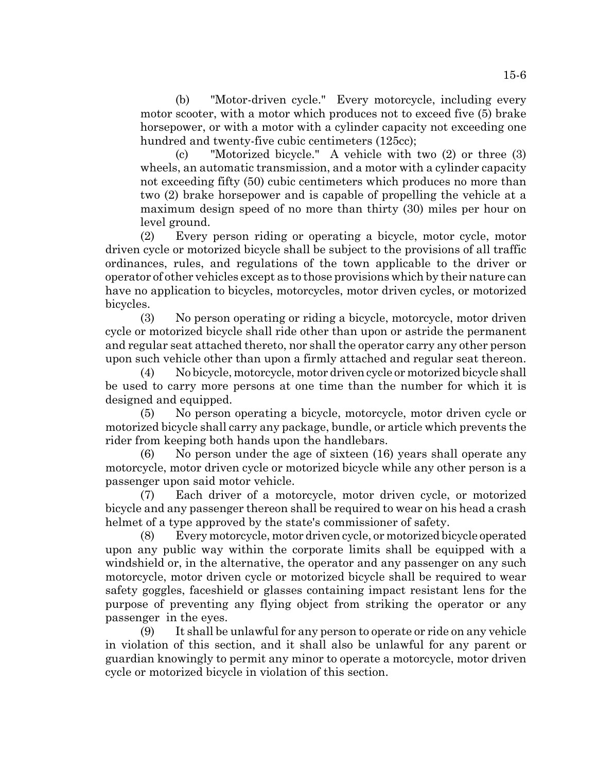(b) "Motor-driven cycle." Every motorcycle, including every motor scooter, with a motor which produces not to exceed five (5) brake horsepower, or with a motor with a cylinder capacity not exceeding one hundred and twenty-five cubic centimeters (125cc);

(c) "Motorized bicycle." A vehicle with two (2) or three (3) wheels, an automatic transmission, and a motor with a cylinder capacity not exceeding fifty (50) cubic centimeters which produces no more than two (2) brake horsepower and is capable of propelling the vehicle at a maximum design speed of no more than thirty (30) miles per hour on level ground.

(2) Every person riding or operating a bicycle, motor cycle, motor driven cycle or motorized bicycle shall be subject to the provisions of all traffic ordinances, rules, and regulations of the town applicable to the driver or operator of other vehicles except as to those provisions which by their nature can have no application to bicycles, motorcycles, motor driven cycles, or motorized bicycles.

(3) No person operating or riding a bicycle, motorcycle, motor driven cycle or motorized bicycle shall ride other than upon or astride the permanent and regular seat attached thereto, nor shall the operator carry any other person upon such vehicle other than upon a firmly attached and regular seat thereon.

(4) No bicycle, motorcycle, motor driven cycle or motorized bicycle shall be used to carry more persons at one time than the number for which it is designed and equipped.

(5) No person operating a bicycle, motorcycle, motor driven cycle or motorized bicycle shall carry any package, bundle, or article which prevents the rider from keeping both hands upon the handlebars.

(6) No person under the age of sixteen (16) years shall operate any motorcycle, motor driven cycle or motorized bicycle while any other person is a passenger upon said motor vehicle.

(7) Each driver of a motorcycle, motor driven cycle, or motorized bicycle and any passenger thereon shall be required to wear on his head a crash helmet of a type approved by the state's commissioner of safety.

(8) Every motorcycle, motor driven cycle, or motorized bicycle operated upon any public way within the corporate limits shall be equipped with a windshield or, in the alternative, the operator and any passenger on any such motorcycle, motor driven cycle or motorized bicycle shall be required to wear safety goggles, faceshield or glasses containing impact resistant lens for the purpose of preventing any flying object from striking the operator or any passenger in the eyes.

(9) It shall be unlawful for any person to operate or ride on any vehicle in violation of this section, and it shall also be unlawful for any parent or guardian knowingly to permit any minor to operate a motorcycle, motor driven cycle or motorized bicycle in violation of this section.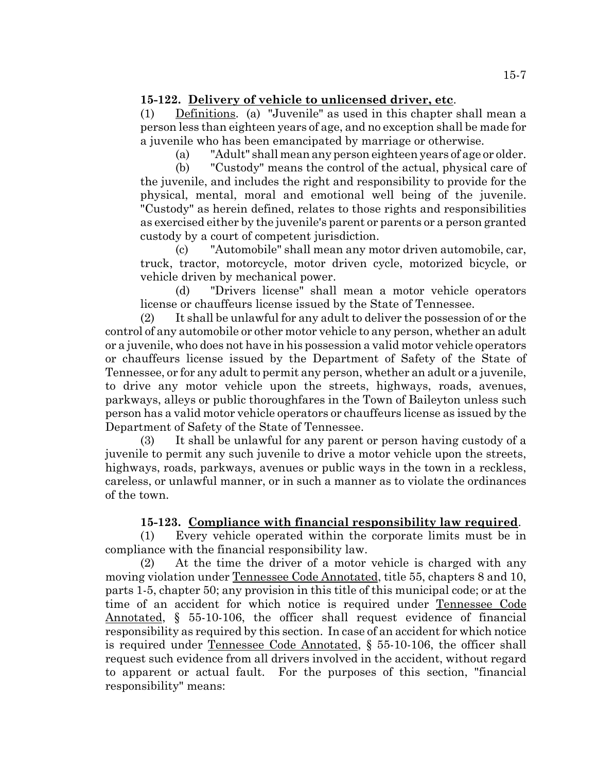# **15-122. Delivery of vehicle to unlicensed driver, etc**.

(1) Definitions. (a) "Juvenile" as used in this chapter shall mean a person less than eighteen years of age, and no exception shall be made for a juvenile who has been emancipated by marriage or otherwise.

(a) "Adult" shall mean any person eighteen years of age or older.

(b) "Custody" means the control of the actual, physical care of the juvenile, and includes the right and responsibility to provide for the physical, mental, moral and emotional well being of the juvenile. "Custody" as herein defined, relates to those rights and responsibilities as exercised either by the juvenile's parent or parents or a person granted custody by a court of competent jurisdiction.

(c) "Automobile" shall mean any motor driven automobile, car, truck, tractor, motorcycle, motor driven cycle, motorized bicycle, or vehicle driven by mechanical power.

(d) "Drivers license" shall mean a motor vehicle operators license or chauffeurs license issued by the State of Tennessee.

(2) It shall be unlawful for any adult to deliver the possession of or the control of any automobile or other motor vehicle to any person, whether an adult or a juvenile, who does not have in his possession a valid motor vehicle operators or chauffeurs license issued by the Department of Safety of the State of Tennessee, or for any adult to permit any person, whether an adult or a juvenile, to drive any motor vehicle upon the streets, highways, roads, avenues, parkways, alleys or public thoroughfares in the Town of Baileyton unless such person has a valid motor vehicle operators or chauffeurs license as issued by the Department of Safety of the State of Tennessee.

(3) It shall be unlawful for any parent or person having custody of a juvenile to permit any such juvenile to drive a motor vehicle upon the streets, highways, roads, parkways, avenues or public ways in the town in a reckless, careless, or unlawful manner, or in such a manner as to violate the ordinances of the town.

# **15-123. Compliance with financial responsibility law required**.

(1) Every vehicle operated within the corporate limits must be in compliance with the financial responsibility law.

(2) At the time the driver of a motor vehicle is charged with any moving violation under Tennessee Code Annotated, title 55, chapters 8 and 10, parts 1-5, chapter 50; any provision in this title of this municipal code; or at the time of an accident for which notice is required under Tennessee Code Annotated, § 55-10-106, the officer shall request evidence of financial responsibility as required by this section. In case of an accident for which notice is required under Tennessee Code Annotated, § 55-10-106, the officer shall request such evidence from all drivers involved in the accident, without regard to apparent or actual fault. For the purposes of this section, "financial responsibility" means: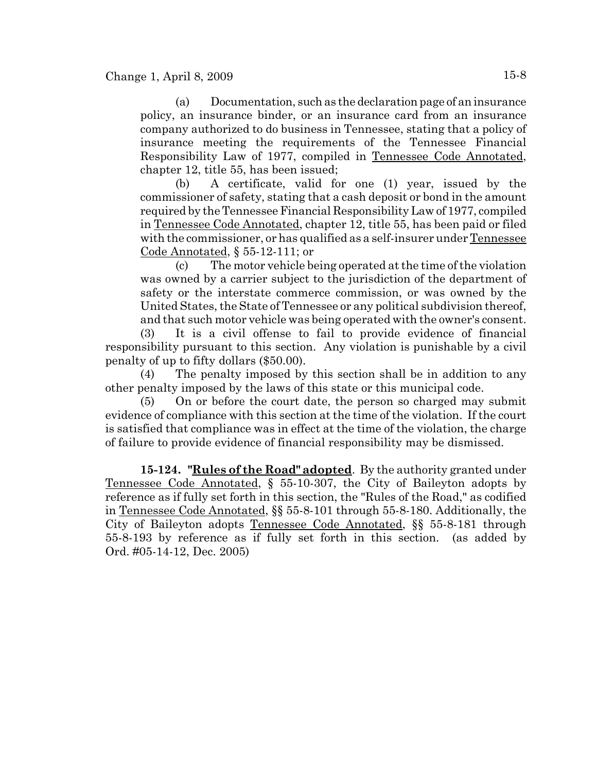(a) Documentation, such as the declaration page of an insurance policy, an insurance binder, or an insurance card from an insurance company authorized to do business in Tennessee, stating that a policy of insurance meeting the requirements of the Tennessee Financial Responsibility Law of 1977, compiled in Tennessee Code Annotated, chapter 12, title 55, has been issued;

(b) A certificate, valid for one (1) year, issued by the commissioner of safety, stating that a cash deposit or bond in the amount required by the Tennessee Financial Responsibility Law of 1977, compiled in Tennessee Code Annotated, chapter 12, title 55, has been paid or filed with the commissioner, or has qualified as a self-insurer under Tennessee Code Annotated, § 55-12-111; or

(c) The motor vehicle being operated at the time of the violation was owned by a carrier subject to the jurisdiction of the department of safety or the interstate commerce commission, or was owned by the United States, the State of Tennessee or any political subdivision thereof, and that such motor vehicle was being operated with the owner's consent.

(3) It is a civil offense to fail to provide evidence of financial responsibility pursuant to this section. Any violation is punishable by a civil penalty of up to fifty dollars (\$50.00).

(4) The penalty imposed by this section shall be in addition to any other penalty imposed by the laws of this state or this municipal code.

(5) On or before the court date, the person so charged may submit evidence of compliance with this section at the time of the violation. If the court is satisfied that compliance was in effect at the time of the violation, the charge of failure to provide evidence of financial responsibility may be dismissed.

**15-124. "Rules of the Road" adopted**. By the authority granted under Tennessee Code Annotated, § 55-10-307, the City of Baileyton adopts by reference as if fully set forth in this section, the "Rules of the Road," as codified in Tennessee Code Annotated, §§ 55-8-101 through 55-8-180. Additionally, the City of Baileyton adopts Tennessee Code Annotated, §§ 55-8-181 through 55-8-193 by reference as if fully set forth in this section. (as added by Ord. #05-14-12, Dec. 2005)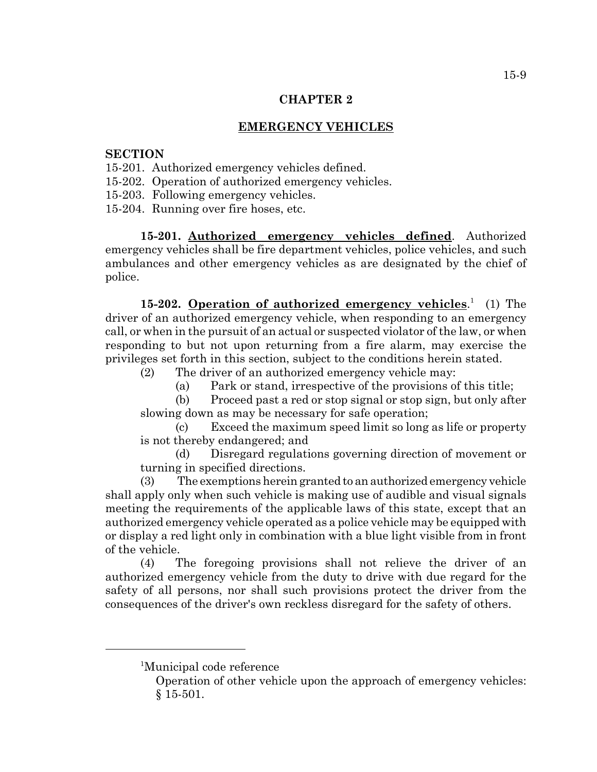# **EMERGENCY VEHICLES**

## **SECTION**

- 15-201. Authorized emergency vehicles defined.
- 15-202. Operation of authorized emergency vehicles.
- 15-203. Following emergency vehicles.
- 15-204. Running over fire hoses, etc.

**15-201. Authorized emergency vehicles defined**. Authorized emergency vehicles shall be fire department vehicles, police vehicles, and such ambulances and other emergency vehicles as are designated by the chief of police.

15-202. **Operation of authorized emergency vehicles.**<sup>1</sup> (1) The driver of an authorized emergency vehicle, when responding to an emergency call, or when in the pursuit of an actual or suspected violator of the law, or when responding to but not upon returning from a fire alarm, may exercise the privileges set forth in this section, subject to the conditions herein stated.

- (2) The driver of an authorized emergency vehicle may:
	- (a) Park or stand, irrespective of the provisions of this title;
- (b) Proceed past a red or stop signal or stop sign, but only after slowing down as may be necessary for safe operation;

(c) Exceed the maximum speed limit so long as life or property is not thereby endangered; and

(d) Disregard regulations governing direction of movement or turning in specified directions.

(3) The exemptions herein granted to an authorized emergency vehicle shall apply only when such vehicle is making use of audible and visual signals meeting the requirements of the applicable laws of this state, except that an authorized emergency vehicle operated as a police vehicle may be equipped with or display a red light only in combination with a blue light visible from in front of the vehicle.

(4) The foregoing provisions shall not relieve the driver of an authorized emergency vehicle from the duty to drive with due regard for the safety of all persons, nor shall such provisions protect the driver from the consequences of the driver's own reckless disregard for the safety of others.

<sup>&</sup>lt;sup>1</sup>Municipal code reference

Operation of other vehicle upon the approach of emergency vehicles: § 15-501.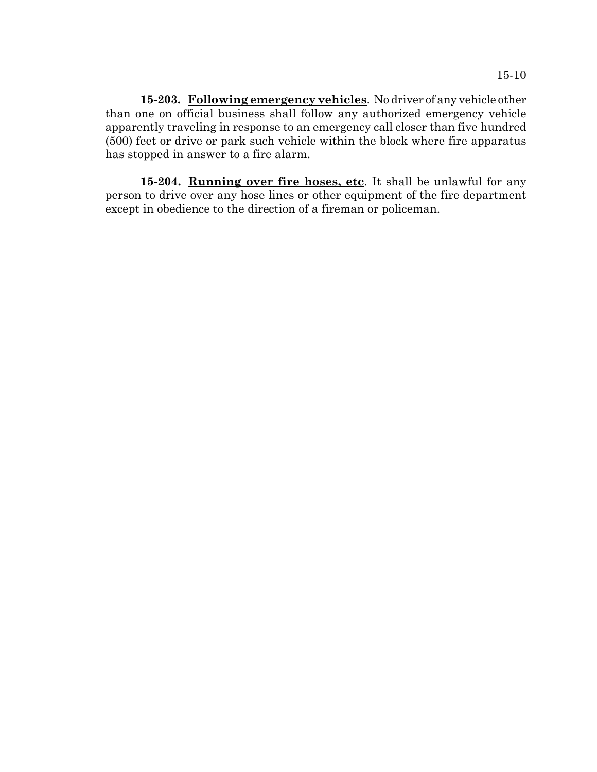**15-203. Following emergency vehicles**. No driver of any vehicle other than one on official business shall follow any authorized emergency vehicle apparently traveling in response to an emergency call closer than five hundred (500) feet or drive or park such vehicle within the block where fire apparatus has stopped in answer to a fire alarm.

**15-204. Running over fire hoses, etc**. It shall be unlawful for any person to drive over any hose lines or other equipment of the fire department except in obedience to the direction of a fireman or policeman.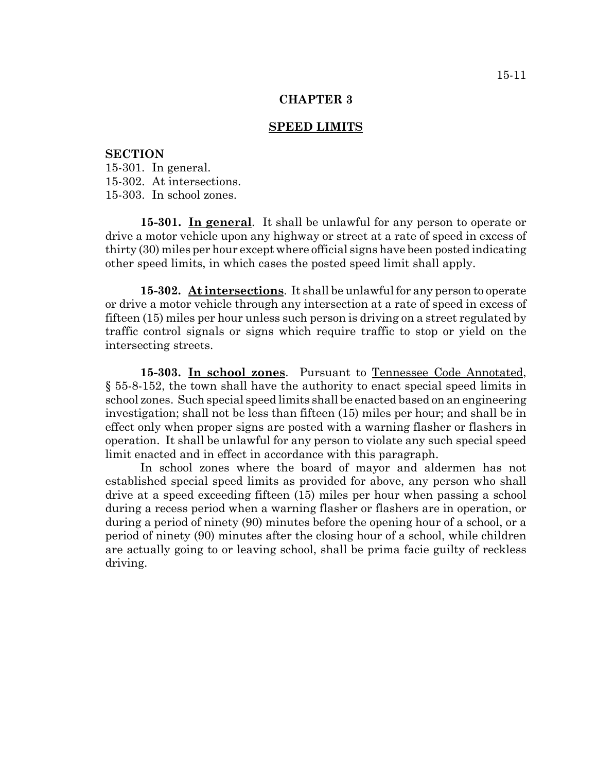### **SPEED LIMITS**

#### **SECTION**

15-301. In general. 15-302. At intersections. 15-303. In school zones.

**15-301. In general**. It shall be unlawful for any person to operate or drive a motor vehicle upon any highway or street at a rate of speed in excess of thirty (30) miles per hour except where official signs have been posted indicating other speed limits, in which cases the posted speed limit shall apply.

**15-302. At intersections**. It shall be unlawful for any person to operate or drive a motor vehicle through any intersection at a rate of speed in excess of fifteen (15) miles per hour unless such person is driving on a street regulated by traffic control signals or signs which require traffic to stop or yield on the intersecting streets.

**15-303. In school zones**. Pursuant to Tennessee Code Annotated, § 55-8-152, the town shall have the authority to enact special speed limits in school zones. Such special speed limits shall be enacted based on an engineering investigation; shall not be less than fifteen (15) miles per hour; and shall be in effect only when proper signs are posted with a warning flasher or flashers in operation. It shall be unlawful for any person to violate any such special speed limit enacted and in effect in accordance with this paragraph.

In school zones where the board of mayor and aldermen has not established special speed limits as provided for above, any person who shall drive at a speed exceeding fifteen (15) miles per hour when passing a school during a recess period when a warning flasher or flashers are in operation, or during a period of ninety (90) minutes before the opening hour of a school, or a period of ninety (90) minutes after the closing hour of a school, while children are actually going to or leaving school, shall be prima facie guilty of reckless driving.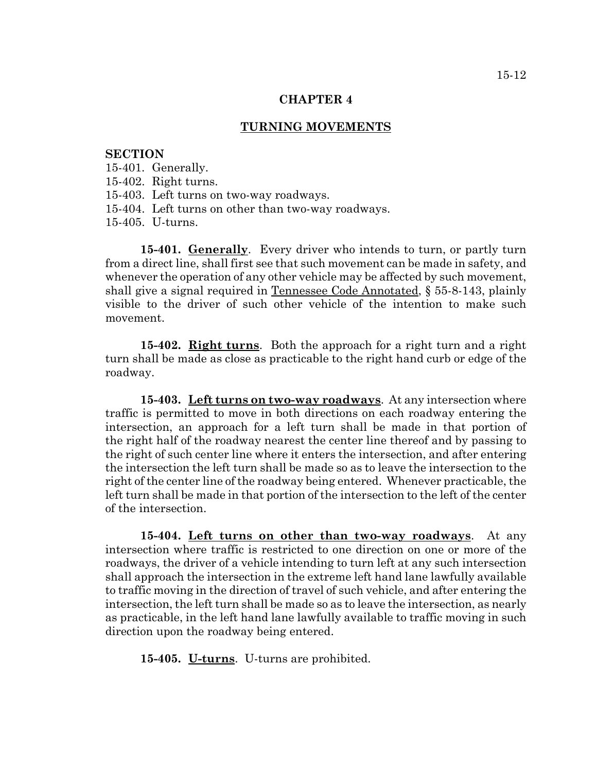## **TURNING MOVEMENTS**

## **SECTION**

- 15-401. Generally.
- 15-402. Right turns.
- 15-403. Left turns on two-way roadways.
- 15-404. Left turns on other than two-way roadways.
- 15-405. U-turns.

**15-401. Generally**. Every driver who intends to turn, or partly turn from a direct line, shall first see that such movement can be made in safety, and whenever the operation of any other vehicle may be affected by such movement, shall give a signal required in Tennessee Code Annotated, § 55-8-143, plainly visible to the driver of such other vehicle of the intention to make such movement.

**15-402. Right turns**. Both the approach for a right turn and a right turn shall be made as close as practicable to the right hand curb or edge of the roadway.

**15-403. Left turns on two-way roadways**. At any intersection where traffic is permitted to move in both directions on each roadway entering the intersection, an approach for a left turn shall be made in that portion of the right half of the roadway nearest the center line thereof and by passing to the right of such center line where it enters the intersection, and after entering the intersection the left turn shall be made so as to leave the intersection to the right of the center line of the roadway being entered. Whenever practicable, the left turn shall be made in that portion of the intersection to the left of the center of the intersection.

**15-404. Left turns on other than two-way roadways**. At any intersection where traffic is restricted to one direction on one or more of the roadways, the driver of a vehicle intending to turn left at any such intersection shall approach the intersection in the extreme left hand lane lawfully available to traffic moving in the direction of travel of such vehicle, and after entering the intersection, the left turn shall be made so as to leave the intersection, as nearly as practicable, in the left hand lane lawfully available to traffic moving in such direction upon the roadway being entered.

**15-405. U-turns**. U-turns are prohibited.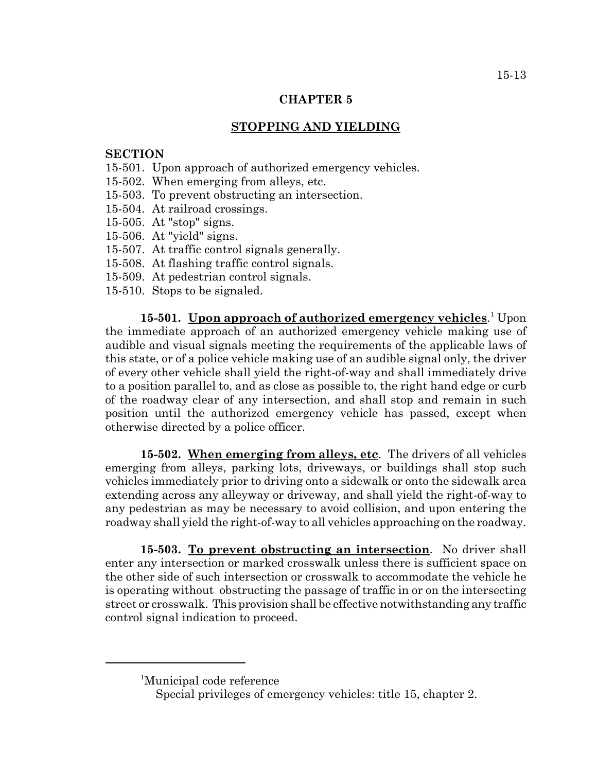# **STOPPING AND YIELDING**

## **SECTION**

- 15-501. Upon approach of authorized emergency vehicles.
- 15-502. When emerging from alleys, etc.
- 15-503. To prevent obstructing an intersection.
- 15-504. At railroad crossings.
- 15-505. At "stop" signs.
- 15-506. At "yield" signs.
- 15-507. At traffic control signals generally.
- 15-508. At flashing traffic control signals.
- 15-509. At pedestrian control signals.
- 15-510. Stops to be signaled.

15-501. **Upon approach of authorized emergency vehicles**.<sup>1</sup> Upon the immediate approach of an authorized emergency vehicle making use of audible and visual signals meeting the requirements of the applicable laws of this state, or of a police vehicle making use of an audible signal only, the driver of every other vehicle shall yield the right-of-way and shall immediately drive to a position parallel to, and as close as possible to, the right hand edge or curb of the roadway clear of any intersection, and shall stop and remain in such position until the authorized emergency vehicle has passed, except when otherwise directed by a police officer.

**15-502. When emerging from alleys, etc**. The drivers of all vehicles emerging from alleys, parking lots, driveways, or buildings shall stop such vehicles immediately prior to driving onto a sidewalk or onto the sidewalk area extending across any alleyway or driveway, and shall yield the right-of-way to any pedestrian as may be necessary to avoid collision, and upon entering the roadway shall yield the right-of-way to all vehicles approaching on the roadway.

**15-503. To prevent obstructing an intersection**. No driver shall enter any intersection or marked crosswalk unless there is sufficient space on the other side of such intersection or crosswalk to accommodate the vehicle he is operating without obstructing the passage of traffic in or on the intersecting street or crosswalk. This provision shall be effective notwithstanding any traffic control signal indication to proceed.

<sup>&</sup>lt;sup>1</sup>Municipal code reference

Special privileges of emergency vehicles: title 15, chapter 2.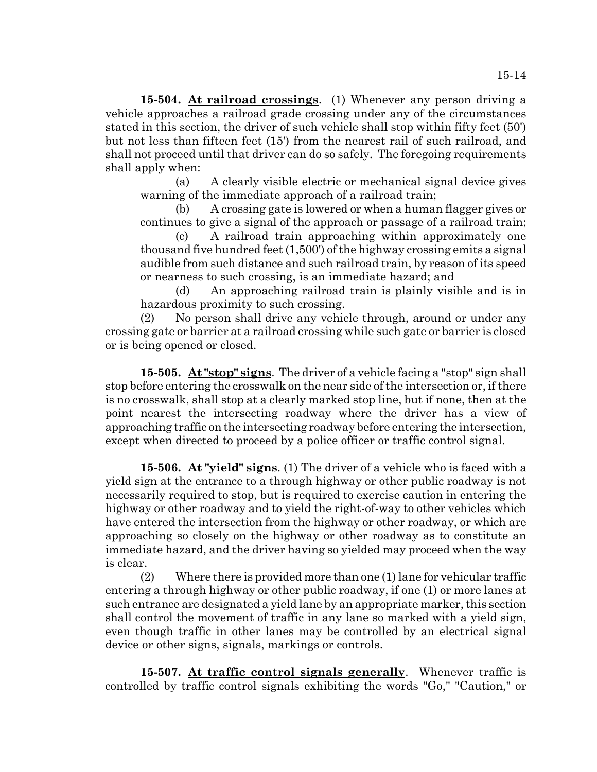**15-504. At railroad crossings**. (1) Whenever any person driving a vehicle approaches a railroad grade crossing under any of the circumstances stated in this section, the driver of such vehicle shall stop within fifty feet (50') but not less than fifteen feet (15') from the nearest rail of such railroad, and shall not proceed until that driver can do so safely. The foregoing requirements shall apply when:

(a) A clearly visible electric or mechanical signal device gives warning of the immediate approach of a railroad train;

(b) A crossing gate is lowered or when a human flagger gives or continues to give a signal of the approach or passage of a railroad train;

(c) A railroad train approaching within approximately one thousand five hundred feet (1,500') of the highway crossing emits a signal audible from such distance and such railroad train, by reason of its speed or nearness to such crossing, is an immediate hazard; and

(d) An approaching railroad train is plainly visible and is in hazardous proximity to such crossing.

(2) No person shall drive any vehicle through, around or under any crossing gate or barrier at a railroad crossing while such gate or barrier is closed or is being opened or closed.

**15-505. At "stop" signs**. The driver of a vehicle facing a "stop" sign shall stop before entering the crosswalk on the near side of the intersection or, if there is no crosswalk, shall stop at a clearly marked stop line, but if none, then at the point nearest the intersecting roadway where the driver has a view of approaching traffic on the intersecting roadway before entering the intersection, except when directed to proceed by a police officer or traffic control signal.

**15-506. At "yield" signs**. (1) The driver of a vehicle who is faced with a yield sign at the entrance to a through highway or other public roadway is not necessarily required to stop, but is required to exercise caution in entering the highway or other roadway and to yield the right-of-way to other vehicles which have entered the intersection from the highway or other roadway, or which are approaching so closely on the highway or other roadway as to constitute an immediate hazard, and the driver having so yielded may proceed when the way is clear.

(2) Where there is provided more than one (1) lane for vehicular traffic entering a through highway or other public roadway, if one (1) or more lanes at such entrance are designated a yield lane by an appropriate marker, this section shall control the movement of traffic in any lane so marked with a yield sign, even though traffic in other lanes may be controlled by an electrical signal device or other signs, signals, markings or controls.

**15-507. At traffic control signals generally**. Whenever traffic is controlled by traffic control signals exhibiting the words "Go," "Caution," or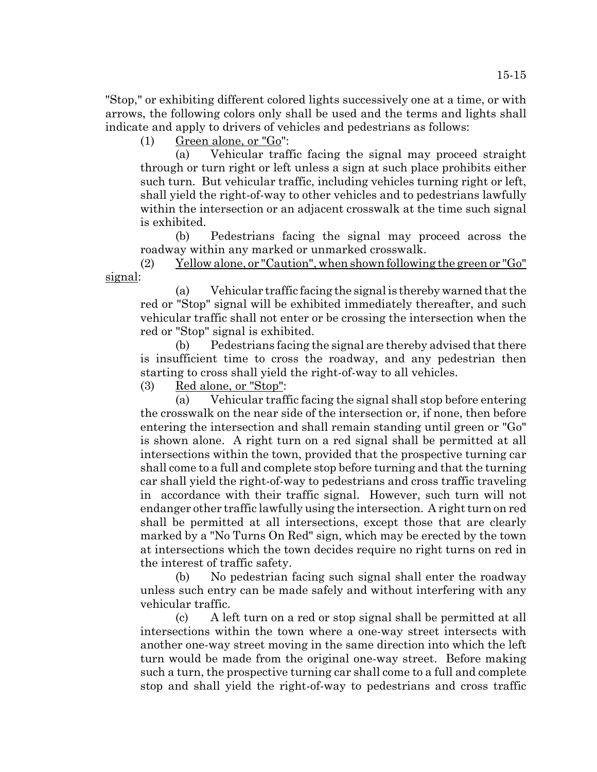"Stop," or exhibiting different colored lights successively one at a time, or with arrows, the following colors only shall be used and the terms and lights shall indicate and apply to drivers of vehicles and pedestrians as follows:

(1) Green alone, or "Go":

(a) Vehicular traffic facing the signal may proceed straight through or turn right or left unless a sign at such place prohibits either such turn. But vehicular traffic, including vehicles turning right or left, shall yield the right-of-way to other vehicles and to pedestrians lawfully within the intersection or an adjacent crosswalk at the time such signal is exhibited.

(b) Pedestrians facing the signal may proceed across the roadway within any marked or unmarked crosswalk.

(2) Yellow alone, or "Caution", when shown following the green or "Go" signal:

(a) Vehicular traffic facing the signal is thereby warned that the red or "Stop" signal will be exhibited immediately thereafter, and such vehicular traffic shall not enter or be crossing the intersection when the red or "Stop" signal is exhibited.

(b) Pedestrians facing the signal are thereby advised that there is insufficient time to cross the roadway, and any pedestrian then starting to cross shall yield the right-of-way to all vehicles.

(3) Red alone, or "Stop":

(a) Vehicular traffic facing the signal shall stop before entering the crosswalk on the near side of the intersection or, if none, then before entering the intersection and shall remain standing until green or "Go" is shown alone. A right turn on a red signal shall be permitted at all intersections within the town, provided that the prospective turning car shall come to a full and complete stop before turning and that the turning car shall yield the right-of-way to pedestrians and cross traffic traveling in accordance with their traffic signal. However, such turn will not endanger other traffic lawfully using the intersection. A right turn on red shall be permitted at all intersections, except those that are clearly marked by a "No Turns On Red" sign, which may be erected by the town at intersections which the town decides require no right turns on red in the interest of traffic safety.

(b) No pedestrian facing such signal shall enter the roadway unless such entry can be made safely and without interfering with any vehicular traffic.

(c) A left turn on a red or stop signal shall be permitted at all intersections within the town where a one-way street intersects with another one-way street moving in the same direction into which the left turn would be made from the original one-way street. Before making such a turn, the prospective turning car shall come to a full and complete stop and shall yield the right-of-way to pedestrians and cross traffic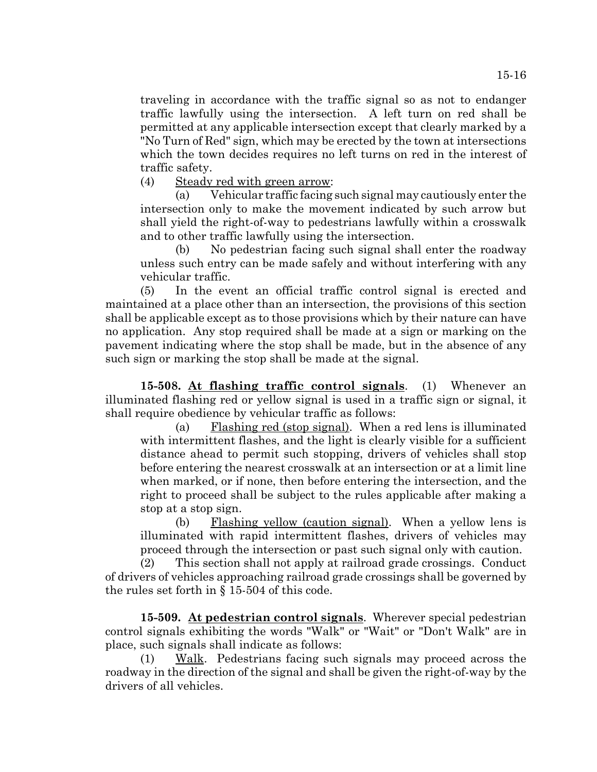traveling in accordance with the traffic signal so as not to endanger traffic lawfully using the intersection. A left turn on red shall be permitted at any applicable intersection except that clearly marked by a "No Turn of Red" sign, which may be erected by the town at intersections which the town decides requires no left turns on red in the interest of traffic safety.

(4) Steady red with green arrow:

(a) Vehicular traffic facing such signal may cautiously enter the intersection only to make the movement indicated by such arrow but shall yield the right-of-way to pedestrians lawfully within a crosswalk and to other traffic lawfully using the intersection.

(b) No pedestrian facing such signal shall enter the roadway unless such entry can be made safely and without interfering with any vehicular traffic.

(5) In the event an official traffic control signal is erected and maintained at a place other than an intersection, the provisions of this section shall be applicable except as to those provisions which by their nature can have no application. Any stop required shall be made at a sign or marking on the pavement indicating where the stop shall be made, but in the absence of any such sign or marking the stop shall be made at the signal.

**15-508. At flashing traffic control signals**. (1) Whenever an illuminated flashing red or yellow signal is used in a traffic sign or signal, it shall require obedience by vehicular traffic as follows:

(a) Flashing red (stop signal). When a red lens is illuminated with intermittent flashes, and the light is clearly visible for a sufficient distance ahead to permit such stopping, drivers of vehicles shall stop before entering the nearest crosswalk at an intersection or at a limit line when marked, or if none, then before entering the intersection, and the right to proceed shall be subject to the rules applicable after making a stop at a stop sign.

(b) Flashing yellow (caution signal). When a yellow lens is illuminated with rapid intermittent flashes, drivers of vehicles may proceed through the intersection or past such signal only with caution.

(2) This section shall not apply at railroad grade crossings. Conduct of drivers of vehicles approaching railroad grade crossings shall be governed by the rules set forth in § 15-504 of this code.

**15-509. At pedestrian control signals**. Wherever special pedestrian control signals exhibiting the words "Walk" or "Wait" or "Don't Walk" are in place, such signals shall indicate as follows:

(1) Walk. Pedestrians facing such signals may proceed across the roadway in the direction of the signal and shall be given the right-of-way by the drivers of all vehicles.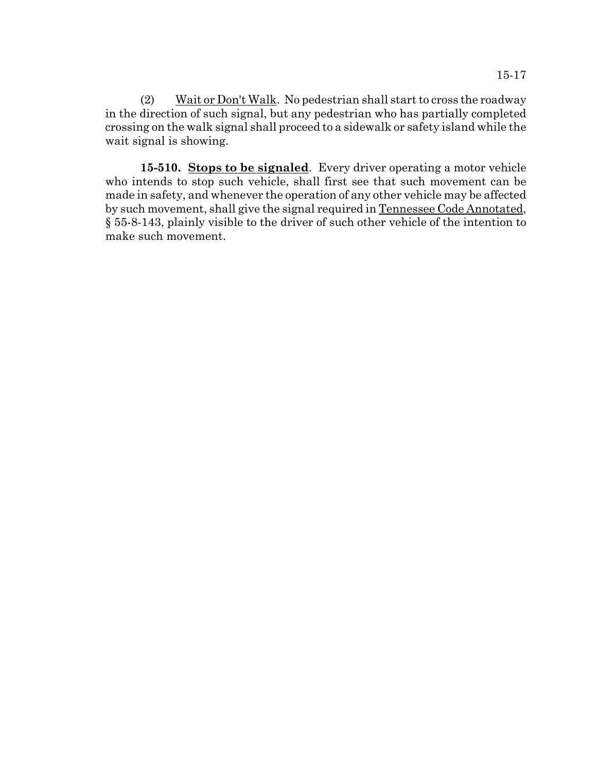(2) Wait or Don't Walk. No pedestrian shall start to cross the roadway in the direction of such signal, but any pedestrian who has partially completed crossing on the walk signal shall proceed to a sidewalk or safety island while the wait signal is showing.

**15-510. Stops to be signaled**. Every driver operating a motor vehicle who intends to stop such vehicle, shall first see that such movement can be made in safety, and whenever the operation of any other vehicle may be affected by such movement, shall give the signal required in Tennessee Code Annotated, § 55-8-143, plainly visible to the driver of such other vehicle of the intention to make such movement.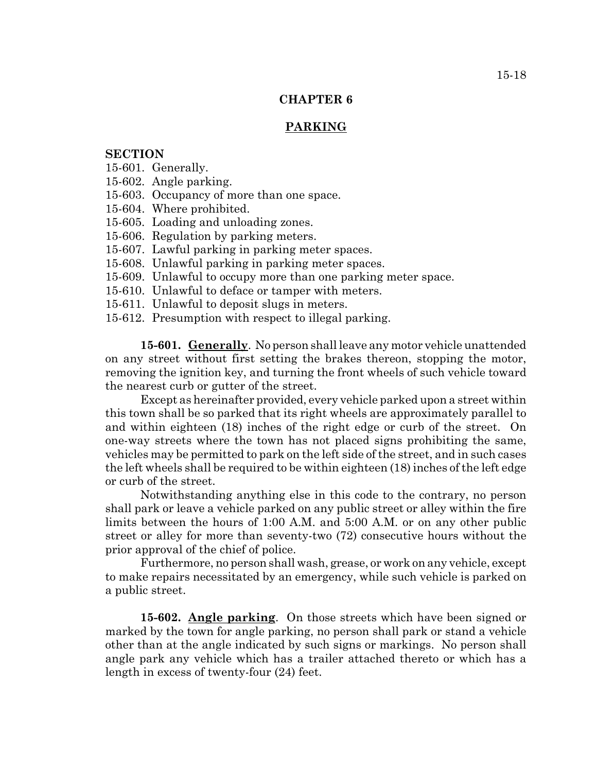# **PARKING**

# **SECTION**

15-601. Generally.

15-602. Angle parking.

15-603. Occupancy of more than one space.

15-604. Where prohibited.

15-605. Loading and unloading zones.

15-606. Regulation by parking meters.

15-607. Lawful parking in parking meter spaces.

15-608. Unlawful parking in parking meter spaces.

15-609. Unlawful to occupy more than one parking meter space.

15-610. Unlawful to deface or tamper with meters.

15-611. Unlawful to deposit slugs in meters.

15-612. Presumption with respect to illegal parking.

**15-601. Generally**. No person shall leave any motor vehicle unattended on any street without first setting the brakes thereon, stopping the motor, removing the ignition key, and turning the front wheels of such vehicle toward the nearest curb or gutter of the street.

Except as hereinafter provided, every vehicle parked upon a street within this town shall be so parked that its right wheels are approximately parallel to and within eighteen (18) inches of the right edge or curb of the street. On one-way streets where the town has not placed signs prohibiting the same, vehicles may be permitted to park on the left side of the street, and in such cases the left wheels shall be required to be within eighteen (18) inches of the left edge or curb of the street.

Notwithstanding anything else in this code to the contrary, no person shall park or leave a vehicle parked on any public street or alley within the fire limits between the hours of 1:00 A.M. and 5:00 A.M. or on any other public street or alley for more than seventy-two (72) consecutive hours without the prior approval of the chief of police.

Furthermore, no person shall wash, grease, or work on any vehicle, except to make repairs necessitated by an emergency, while such vehicle is parked on a public street.

**15-602. Angle parking**. On those streets which have been signed or marked by the town for angle parking, no person shall park or stand a vehicle other than at the angle indicated by such signs or markings. No person shall angle park any vehicle which has a trailer attached thereto or which has a length in excess of twenty-four (24) feet.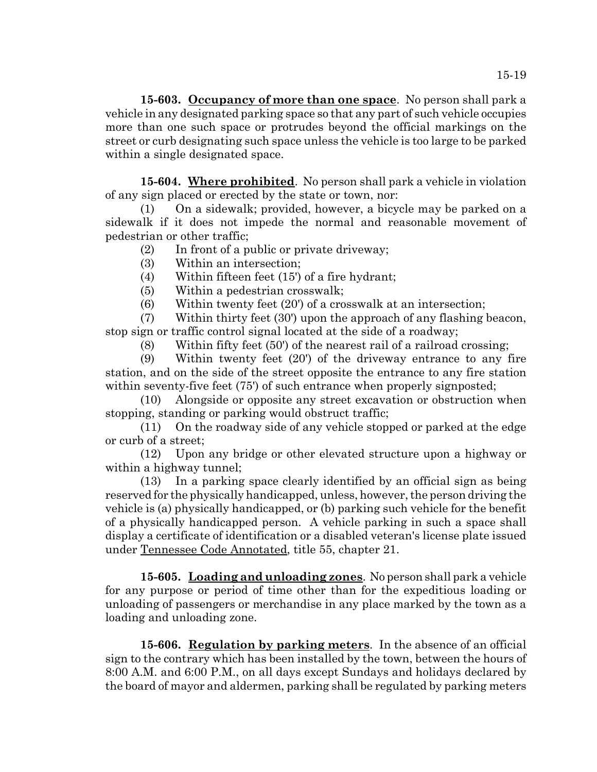**15-603. Occupancy of more than one space**. No person shall park a vehicle in any designated parking space so that any part of such vehicle occupies more than one such space or protrudes beyond the official markings on the street or curb designating such space unless the vehicle is too large to be parked within a single designated space.

**15-604. Where prohibited**. No person shall park a vehicle in violation of any sign placed or erected by the state or town, nor:

(1) On a sidewalk; provided, however, a bicycle may be parked on a sidewalk if it does not impede the normal and reasonable movement of pedestrian or other traffic;

(2) In front of a public or private driveway;

- (3) Within an intersection;
- (4) Within fifteen feet (15') of a fire hydrant;

(5) Within a pedestrian crosswalk;

(6) Within twenty feet (20') of a crosswalk at an intersection;

(7) Within thirty feet (30') upon the approach of any flashing beacon, stop sign or traffic control signal located at the side of a roadway;

(8) Within fifty feet (50') of the nearest rail of a railroad crossing;

(9) Within twenty feet (20') of the driveway entrance to any fire station, and on the side of the street opposite the entrance to any fire station within seventy-five feet (75') of such entrance when properly signposted;

(10) Alongside or opposite any street excavation or obstruction when stopping, standing or parking would obstruct traffic;

(11) On the roadway side of any vehicle stopped or parked at the edge or curb of a street;

(12) Upon any bridge or other elevated structure upon a highway or within a highway tunnel;

(13) In a parking space clearly identified by an official sign as being reserved for the physically handicapped, unless, however, the person driving the vehicle is (a) physically handicapped, or (b) parking such vehicle for the benefit of a physically handicapped person. A vehicle parking in such a space shall display a certificate of identification or a disabled veteran's license plate issued under Tennessee Code Annotated, title 55, chapter 21.

**15-605. Loading and unloading zones**. No person shall park a vehicle for any purpose or period of time other than for the expeditious loading or unloading of passengers or merchandise in any place marked by the town as a loading and unloading zone.

**15-606. Regulation by parking meters**. In the absence of an official sign to the contrary which has been installed by the town, between the hours of 8:00 A.M. and 6:00 P.M., on all days except Sundays and holidays declared by the board of mayor and aldermen, parking shall be regulated by parking meters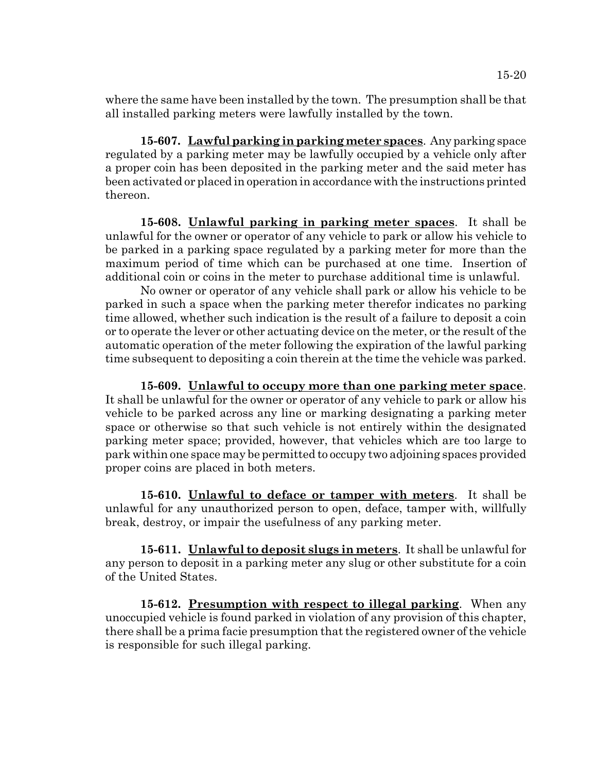where the same have been installed by the town. The presumption shall be that all installed parking meters were lawfully installed by the town.

**15-607. Lawful parking in parking meter spaces**. Any parking space regulated by a parking meter may be lawfully occupied by a vehicle only after a proper coin has been deposited in the parking meter and the said meter has been activated or placed in operation in accordance with the instructions printed thereon.

**15-608. Unlawful parking in parking meter spaces**. It shall be unlawful for the owner or operator of any vehicle to park or allow his vehicle to be parked in a parking space regulated by a parking meter for more than the maximum period of time which can be purchased at one time. Insertion of additional coin or coins in the meter to purchase additional time is unlawful.

No owner or operator of any vehicle shall park or allow his vehicle to be parked in such a space when the parking meter therefor indicates no parking time allowed, whether such indication is the result of a failure to deposit a coin or to operate the lever or other actuating device on the meter, or the result of the automatic operation of the meter following the expiration of the lawful parking time subsequent to depositing a coin therein at the time the vehicle was parked.

**15-609. Unlawful to occupy more than one parking meter space**. It shall be unlawful for the owner or operator of any vehicle to park or allow his vehicle to be parked across any line or marking designating a parking meter space or otherwise so that such vehicle is not entirely within the designated parking meter space; provided, however, that vehicles which are too large to park within one space may be permitted to occupy two adjoining spaces provided proper coins are placed in both meters.

**15-610. Unlawful to deface or tamper with meters**. It shall be unlawful for any unauthorized person to open, deface, tamper with, willfully break, destroy, or impair the usefulness of any parking meter.

**15-611. Unlawful to deposit slugs in meters**. It shall be unlawful for any person to deposit in a parking meter any slug or other substitute for a coin of the United States.

**15-612. Presumption with respect to illegal parking**. When any unoccupied vehicle is found parked in violation of any provision of this chapter, there shall be a prima facie presumption that the registered owner of the vehicle is responsible for such illegal parking.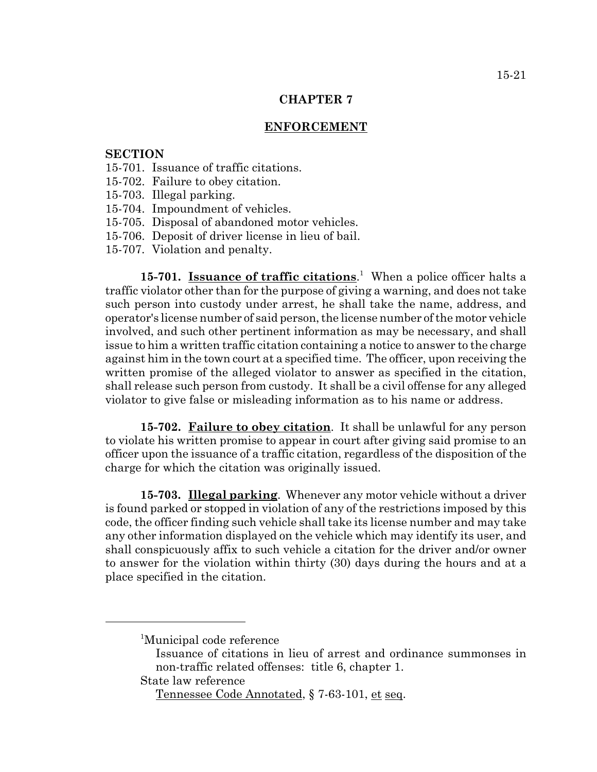### **ENFORCEMENT**

## **SECTION**

- 15-701. Issuance of traffic citations.
- 15-702. Failure to obey citation.
- 15-703. Illegal parking.
- 15-704. Impoundment of vehicles.
- 15-705. Disposal of abandoned motor vehicles.
- 15-706. Deposit of driver license in lieu of bail.
- 15-707. Violation and penalty.

15-701. **Issuance of traffic citations**.<sup>1</sup> When a police officer halts a traffic violator other than for the purpose of giving a warning, and does not take such person into custody under arrest, he shall take the name, address, and operator's license number of said person, the license number of the motor vehicle involved, and such other pertinent information as may be necessary, and shall issue to him a written traffic citation containing a notice to answer to the charge against him in the town court at a specified time. The officer, upon receiving the written promise of the alleged violator to answer as specified in the citation, shall release such person from custody. It shall be a civil offense for any alleged violator to give false or misleading information as to his name or address.

**15-702. Failure to obey citation**. It shall be unlawful for any person to violate his written promise to appear in court after giving said promise to an officer upon the issuance of a traffic citation, regardless of the disposition of the charge for which the citation was originally issued.

**15-703. Illegal parking**. Whenever any motor vehicle without a driver is found parked or stopped in violation of any of the restrictions imposed by this code, the officer finding such vehicle shall take its license number and may take any other information displayed on the vehicle which may identify its user, and shall conspicuously affix to such vehicle a citation for the driver and/or owner to answer for the violation within thirty (30) days during the hours and at a place specified in the citation.

<sup>1</sup> Municipal code reference

Issuance of citations in lieu of arrest and ordinance summonses in non-traffic related offenses: title 6, chapter 1.

State law reference

Tennessee Code Annotated, § 7-63-101, et seq.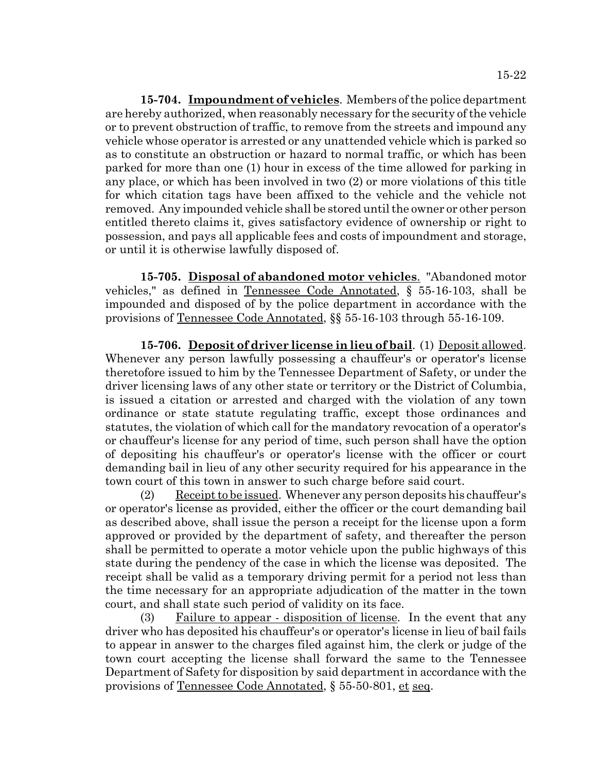**15-704. Impoundment of vehicles**. Members of the police department are hereby authorized, when reasonably necessary for the security of the vehicle or to prevent obstruction of traffic, to remove from the streets and impound any vehicle whose operator is arrested or any unattended vehicle which is parked so as to constitute an obstruction or hazard to normal traffic, or which has been parked for more than one (1) hour in excess of the time allowed for parking in any place, or which has been involved in two (2) or more violations of this title for which citation tags have been affixed to the vehicle and the vehicle not removed. Any impounded vehicle shall be stored until the owner or other person entitled thereto claims it, gives satisfactory evidence of ownership or right to possession, and pays all applicable fees and costs of impoundment and storage, or until it is otherwise lawfully disposed of.

**15-705. Disposal of abandoned motor vehicles**. "Abandoned motor vehicles," as defined in Tennessee Code Annotated, § 55-16-103, shall be impounded and disposed of by the police department in accordance with the provisions of Tennessee Code Annotated, §§ 55-16-103 through 55-16-109.

**15-706. Deposit of driver license in lieu of bail**. (1) Deposit allowed. Whenever any person lawfully possessing a chauffeur's or operator's license theretofore issued to him by the Tennessee Department of Safety, or under the driver licensing laws of any other state or territory or the District of Columbia, is issued a citation or arrested and charged with the violation of any town ordinance or state statute regulating traffic, except those ordinances and statutes, the violation of which call for the mandatory revocation of a operator's or chauffeur's license for any period of time, such person shall have the option of depositing his chauffeur's or operator's license with the officer or court demanding bail in lieu of any other security required for his appearance in the town court of this town in answer to such charge before said court.

(2) Receipt to be issued. Whenever any person deposits his chauffeur's or operator's license as provided, either the officer or the court demanding bail as described above, shall issue the person a receipt for the license upon a form approved or provided by the department of safety, and thereafter the person shall be permitted to operate a motor vehicle upon the public highways of this state during the pendency of the case in which the license was deposited. The receipt shall be valid as a temporary driving permit for a period not less than the time necessary for an appropriate adjudication of the matter in the town court, and shall state such period of validity on its face.

(3) Failure to appear - disposition of license. In the event that any driver who has deposited his chauffeur's or operator's license in lieu of bail fails to appear in answer to the charges filed against him, the clerk or judge of the town court accepting the license shall forward the same to the Tennessee Department of Safety for disposition by said department in accordance with the provisions of Tennessee Code Annotated, § 55-50-801, et seq.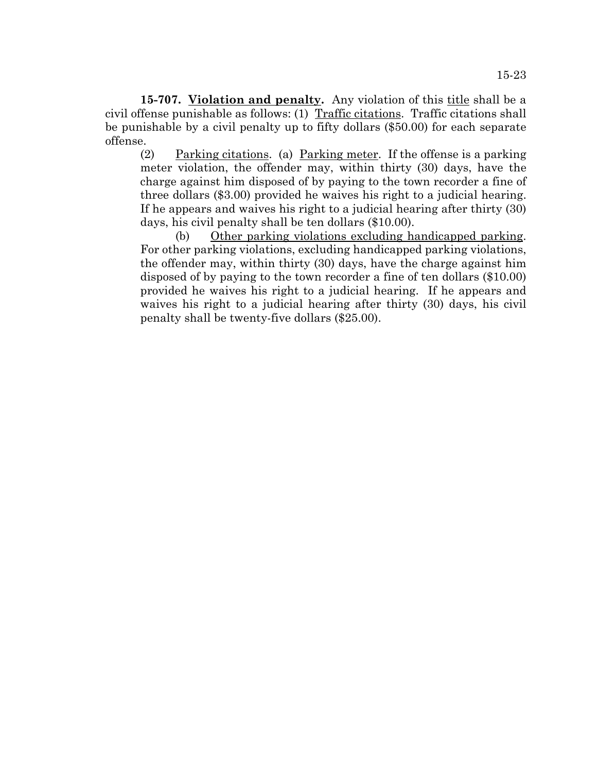**15-707.** Violation and penalty. Any violation of this title shall be a civil offense punishable as follows: (1) Traffic citations. Traffic citations shall be punishable by a civil penalty up to fifty dollars (\$50.00) for each separate offense.

(2) Parking citations. (a) Parking meter. If the offense is a parking meter violation, the offender may, within thirty (30) days, have the charge against him disposed of by paying to the town recorder a fine of three dollars (\$3.00) provided he waives his right to a judicial hearing. If he appears and waives his right to a judicial hearing after thirty (30) days, his civil penalty shall be ten dollars (\$10.00).

(b) Other parking violations excluding handicapped parking. For other parking violations, excluding handicapped parking violations, the offender may, within thirty (30) days, have the charge against him disposed of by paying to the town recorder a fine of ten dollars (\$10.00) provided he waives his right to a judicial hearing. If he appears and waives his right to a judicial hearing after thirty (30) days, his civil penalty shall be twenty-five dollars (\$25.00).